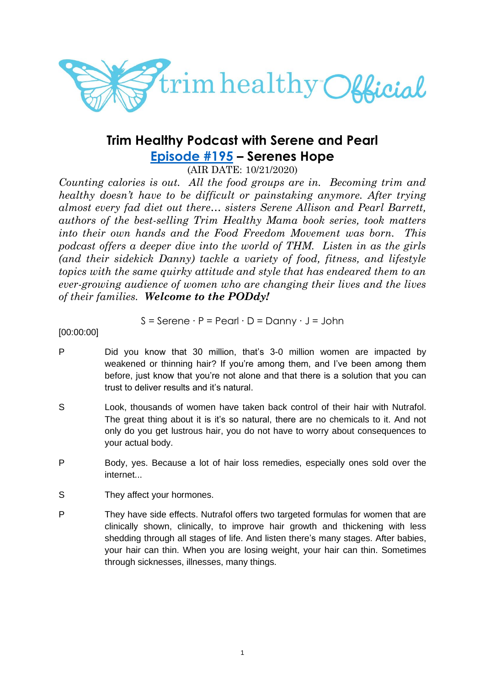

# **Trim Healthy Podcast with Serene and Pearl [Episode #195](https://cms.megaphone.fm/channel/trimhealthypodcast?selected=ADL3615370361) – Serenes Hope**

(AIR DATE: 10/21/2020)

*Counting calories is out. All the food groups are in. Becoming trim and healthy doesn't have to be difficult or painstaking anymore. After trying almost every fad diet out there… sisters Serene Allison and Pearl Barrett, authors of the best-selling Trim Healthy Mama book series, took matters into their own hands and the Food Freedom Movement was born. This podcast offers a deeper dive into the world of THM. Listen in as the girls (and their sidekick Danny) tackle a variety of food, fitness, and lifestyle topics with the same quirky attitude and style that has endeared them to an ever-growing audience of women who are changing their lives and the lives of their families. Welcome to the PODdy!*

$$
S =
$$
Serene · P = Pearl · D = Danny · J = John

[00:00:00]

- P Did you know that 30 million, that's 3-0 million women are impacted by weakened or thinning hair? If you're among them, and I've been among them before, just know that you're not alone and that there is a solution that you can trust to deliver results and it's natural.
- S Look, thousands of women have taken back control of their hair with Nutrafol. The great thing about it is it's so natural, there are no chemicals to it. And not only do you get lustrous hair, you do not have to worry about consequences to your actual body.
- P Body, yes. Because a lot of hair loss remedies, especially ones sold over the internet...
- S They affect your hormones.
- P They have side effects. Nutrafol offers two targeted formulas for women that are clinically shown, clinically, to improve hair growth and thickening with less shedding through all stages of life. And listen there's many stages. After babies, your hair can thin. When you are losing weight, your hair can thin. Sometimes through sicknesses, illnesses, many things.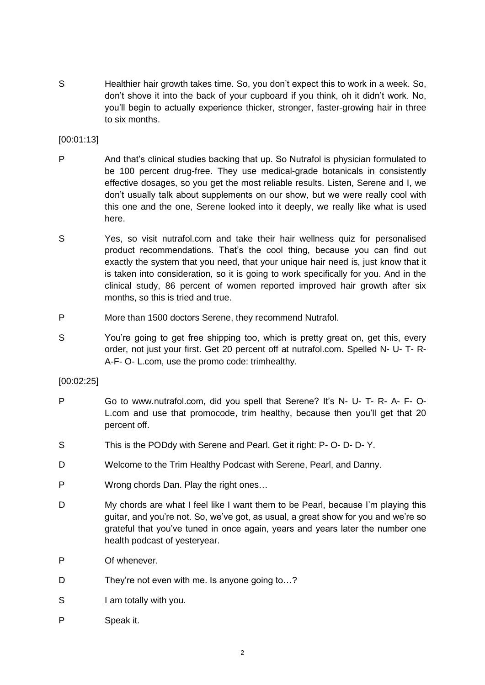S Healthier hair growth takes time. So, you don't expect this to work in a week. So, don't shove it into the back of your cupboard if you think, oh it didn't work. No, you'll begin to actually experience thicker, stronger, faster-growing hair in three to six months.

# [00:01:13]

- P And that's clinical studies backing that up. So Nutrafol is physician formulated to be 100 percent drug-free. They use medical-grade botanicals in consistently effective dosages, so you get the most reliable results. Listen, Serene and I, we don't usually talk about supplements on our show, but we were really cool with this one and the one, Serene looked into it deeply, we really like what is used here.
- S Yes, so visit nutrafol.com and take their hair wellness quiz for personalised product recommendations. That's the cool thing, because you can find out exactly the system that you need, that your unique hair need is, just know that it is taken into consideration, so it is going to work specifically for you. And in the clinical study, 86 percent of women reported improved hair growth after six months, so this is tried and true.
- P More than 1500 doctors Serene, they recommend Nutrafol.
- S You're going to get free shipping too, which is pretty great on, get this, every order, not just your first. Get 20 percent off at nutrafol.com. Spelled N- U- T- R-A-F- O- L.com, use the promo code: trimhealthy.

## [00:02:25]

- P Go to www.nutrafol.com, did you spell that Serene? It's N- U- T- R- A- F- O-L.com and use that promocode, trim healthy, because then you'll get that 20 percent off.
- S This is the PODdy with Serene and Pearl. Get it right: P- O- D- D- Y.
- D Welcome to the Trim Healthy Podcast with Serene, Pearl, and Danny.
- P Wrong chords Dan. Play the right ones…
- D My chords are what I feel like I want them to be Pearl, because I'm playing this guitar, and you're not. So, we've got, as usual, a great show for you and we're so grateful that you've tuned in once again, years and years later the number one health podcast of yesteryear.
- P Of whenever.
- D They're not even with me. Is anyone going to...?
- S I am totally with you.
- P Speak it.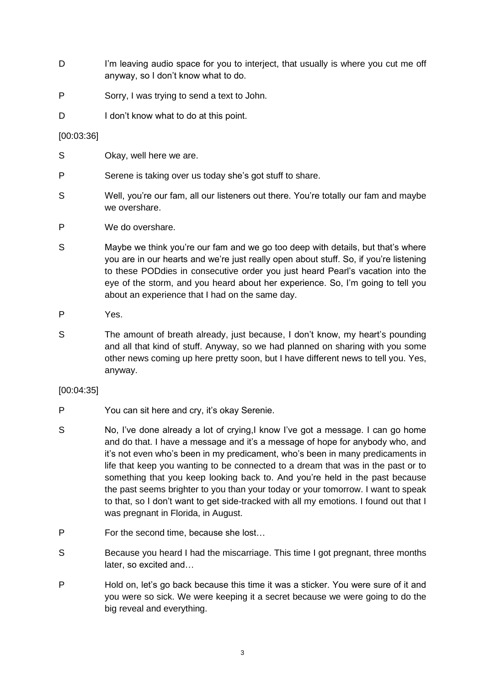- D I'm leaving audio space for you to interject, that usually is where you cut me off anyway, so I don't know what to do.
- P Sorry, I was trying to send a text to John.
- D I don't know what to do at this point.

## [00:03:36]

- S Okay, well here we are.
- P Serene is taking over us today she's got stuff to share.
- S Well, you're our fam, all our listeners out there. You're totally our fam and maybe we overshare.
- P We do overshare.
- S Maybe we think you're our fam and we go too deep with details, but that's where you are in our hearts and we're just really open about stuff. So, if you're listening to these PODdies in consecutive order you just heard Pearl's vacation into the eye of the storm, and you heard about her experience. So, I'm going to tell you about an experience that I had on the same day.
- P Yes.
- S The amount of breath already, just because, I don't know, my heart's pounding and all that kind of stuff. Anyway, so we had planned on sharing with you some other news coming up here pretty soon, but I have different news to tell you. Yes, anyway.

## [00:04:35]

- P You can sit here and cry, it's okay Serenie.
- S No, I've done already a lot of crying,I know I've got a message. I can go home and do that. I have a message and it's a message of hope for anybody who, and it's not even who's been in my predicament, who's been in many predicaments in life that keep you wanting to be connected to a dream that was in the past or to something that you keep looking back to. And you're held in the past because the past seems brighter to you than your today or your tomorrow. I want to speak to that, so I don't want to get side-tracked with all my emotions. I found out that I was pregnant in Florida, in August.
- P For the second time, because she lost…
- S Because you heard I had the miscarriage. This time I got pregnant, three months later, so excited and…
- P Hold on, let's go back because this time it was a sticker. You were sure of it and you were so sick. We were keeping it a secret because we were going to do the big reveal and everything.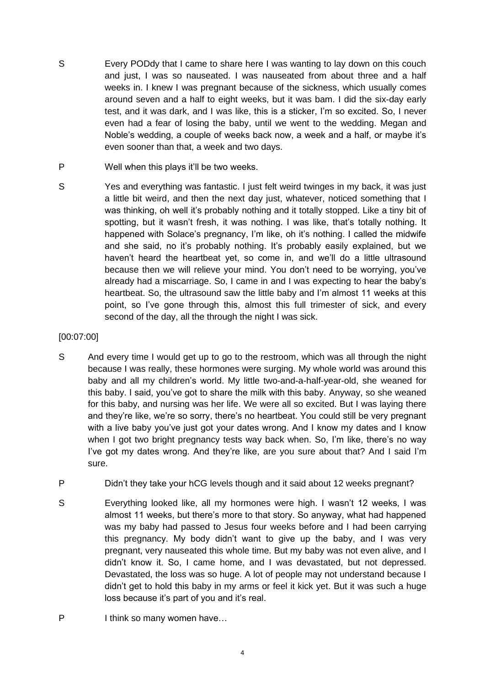- S Every PODdy that I came to share here I was wanting to lay down on this couch and just, I was so nauseated. I was nauseated from about three and a half weeks in. I knew I was pregnant because of the sickness, which usually comes around seven and a half to eight weeks, but it was bam. I did the six-day early test, and it was dark, and I was like, this is a sticker, I'm so excited. So, I never even had a fear of losing the baby, until we went to the wedding. Megan and Noble's wedding, a couple of weeks back now, a week and a half, or maybe it's even sooner than that, a week and two days.
- P Well when this plays it'll be two weeks.
- S Yes and everything was fantastic. I just felt weird twinges in my back, it was just a little bit weird, and then the next day just, whatever, noticed something that I was thinking, oh well it's probably nothing and it totally stopped. Like a tiny bit of spotting, but it wasn't fresh, it was nothing. I was like, that's totally nothing. It happened with Solace's pregnancy, I'm like, oh it's nothing. I called the midwife and she said, no it's probably nothing. It's probably easily explained, but we haven't heard the heartbeat yet, so come in, and we'll do a little ultrasound because then we will relieve your mind. You don't need to be worrying, you've already had a miscarriage. So, I came in and I was expecting to hear the baby's heartbeat. So, the ultrasound saw the little baby and I'm almost 11 weeks at this point, so I've gone through this, almost this full trimester of sick, and every second of the day, all the through the night I was sick.

# [00:07:00]

- S And every time I would get up to go to the restroom, which was all through the night because I was really, these hormones were surging. My whole world was around this baby and all my children's world. My little two-and-a-half-year-old, she weaned for this baby. I said, you've got to share the milk with this baby. Anyway, so she weaned for this baby, and nursing was her life. We were all so excited. But I was laying there and they're like, we're so sorry, there's no heartbeat. You could still be very pregnant with a live baby you've just got your dates wrong. And I know my dates and I know when I got two bright pregnancy tests way back when. So, I'm like, there's no way I've got my dates wrong. And they're like, are you sure about that? And I said I'm sure.
- P Didn't they take your hCG levels though and it said about 12 weeks pregnant?
- S Everything looked like, all my hormones were high. I wasn't 12 weeks, I was almost 11 weeks, but there's more to that story. So anyway, what had happened was my baby had passed to Jesus four weeks before and I had been carrying this pregnancy. My body didn't want to give up the baby, and I was very pregnant, very nauseated this whole time. But my baby was not even alive, and I didn't know it. So, I came home, and I was devastated, but not depressed. Devastated, the loss was so huge. A lot of people may not understand because I didn't get to hold this baby in my arms or feel it kick yet. But it was such a huge loss because it's part of you and it's real.
- P I think so many women have...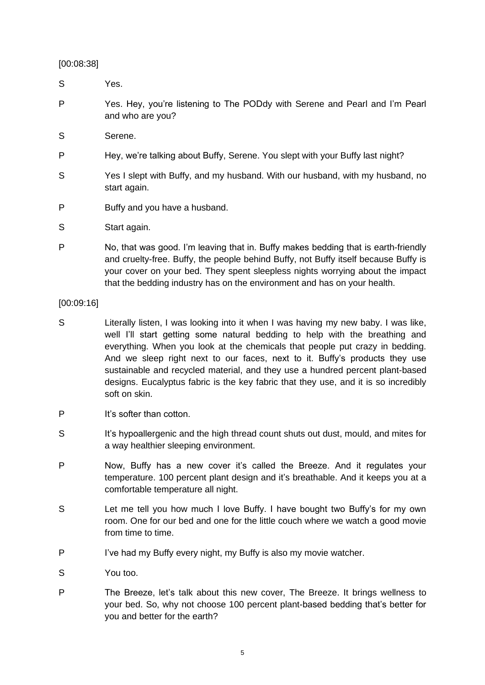[00:08:38]

- S Yes.
- P Yes. Hey, you're listening to The PODdy with Serene and Pearl and I'm Pearl and who are you?
- S Serene.
- P Hey, we're talking about Buffy, Serene. You slept with your Buffy last night?
- S Yes I slept with Buffy, and my husband. With our husband, with my husband, no start again.
- P Buffy and you have a husband.
- S Start again.
- P No, that was good. I'm leaving that in. Buffy makes bedding that is earth-friendly and cruelty-free. Buffy, the people behind Buffy, not Buffy itself because Buffy is your cover on your bed. They spent sleepless nights worrying about the impact that the bedding industry has on the environment and has on your health.

[00:09:16]

- S Literally listen, I was looking into it when I was having my new baby. I was like, well I'll start getting some natural bedding to help with the breathing and everything. When you look at the chemicals that people put crazy in bedding. And we sleep right next to our faces, next to it. Buffy's products they use sustainable and recycled material, and they use a hundred percent plant-based designs. Eucalyptus fabric is the key fabric that they use, and it is so incredibly soft on skin.
- P It's softer than cotton.
- S It's hypoallergenic and the high thread count shuts out dust, mould, and mites for a way healthier sleeping environment.
- P Now, Buffy has a new cover it's called the Breeze. And it regulates your temperature. 100 percent plant design and it's breathable. And it keeps you at a comfortable temperature all night.
- S Let me tell you how much I love Buffy. I have bought two Buffy's for my own room. One for our bed and one for the little couch where we watch a good movie from time to time.
- P I've had my Buffy every night, my Buffy is also my movie watcher.
- S You too.
- P The Breeze, let's talk about this new cover, The Breeze. It brings wellness to your bed. So, why not choose 100 percent plant-based bedding that's better for you and better for the earth?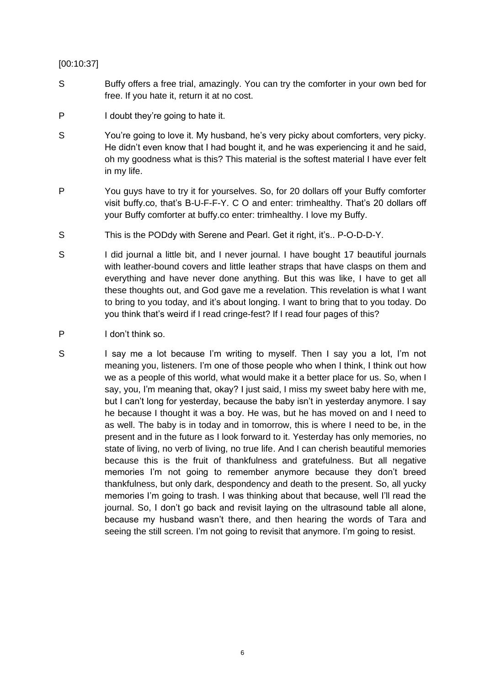## [00:10:37]

- S Buffy offers a free trial, amazingly. You can try the comforter in your own bed for free. If you hate it, return it at no cost.
- P I doubt they're going to hate it.
- S You're going to love it. My husband, he's very picky about comforters, very picky. He didn't even know that I had bought it, and he was experiencing it and he said, oh my goodness what is this? This material is the softest material I have ever felt in my life.
- P You guys have to try it for yourselves. So, for 20 dollars off your Buffy comforter visit buffy.co, that's B-U-F-F-Y. C O and enter: trimhealthy. That's 20 dollars off your Buffy comforter at buffy.co enter: trimhealthy. I love my Buffy.
- S This is the PODdy with Serene and Pearl. Get it right, it's.. P-O-D-D-Y.
- S I did journal a little bit, and I never journal. I have bought 17 beautiful journals with leather-bound covers and little leather straps that have clasps on them and everything and have never done anything. But this was like, I have to get all these thoughts out, and God gave me a revelation. This revelation is what I want to bring to you today, and it's about longing. I want to bring that to you today. Do you think that's weird if I read cringe-fest? If I read four pages of this?
- P I don't think so.
- S I say me a lot because I'm writing to myself. Then I say you a lot, I'm not meaning you, listeners. I'm one of those people who when I think, I think out how we as a people of this world, what would make it a better place for us. So, when I say, you, I'm meaning that, okay? I just said, I miss my sweet baby here with me, but I can't long for yesterday, because the baby isn't in yesterday anymore. I say he because I thought it was a boy. He was, but he has moved on and I need to as well. The baby is in today and in tomorrow, this is where I need to be, in the present and in the future as I look forward to it. Yesterday has only memories, no state of living, no verb of living, no true life. And I can cherish beautiful memories because this is the fruit of thankfulness and gratefulness. But all negative memories I'm not going to remember anymore because they don't breed thankfulness, but only dark, despondency and death to the present. So, all yucky memories I'm going to trash. I was thinking about that because, well I'll read the journal. So, I don't go back and revisit laying on the ultrasound table all alone, because my husband wasn't there, and then hearing the words of Tara and seeing the still screen. I'm not going to revisit that anymore. I'm going to resist.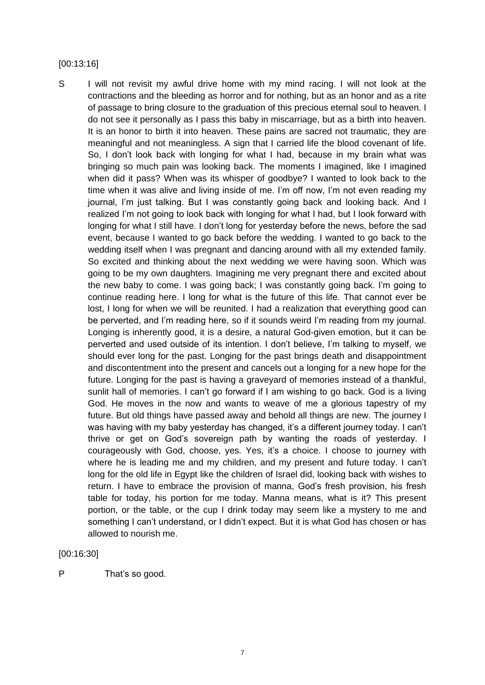#### [00:13:16]

S I will not revisit my awful drive home with my mind racing. I will not look at the contractions and the bleeding as horror and for nothing, but as an honor and as a rite of passage to bring closure to the graduation of this precious eternal soul to heaven. I do not see it personally as I pass this baby in miscarriage, but as a birth into heaven. It is an honor to birth it into heaven. These pains are sacred not traumatic, they are meaningful and not meaningless. A sign that I carried life the blood covenant of life. So, I don't look back with longing for what I had, because in my brain what was bringing so much pain was looking back. The moments I imagined, like I imagined when did it pass? When was its whisper of goodbye? I wanted to look back to the time when it was alive and living inside of me. I'm off now, I'm not even reading my journal, I'm just talking. But I was constantly going back and looking back. And I realized I'm not going to look back with longing for what I had, but I look forward with longing for what I still have. I don't long for yesterday before the news, before the sad event, because I wanted to go back before the wedding. I wanted to go back to the wedding itself when I was pregnant and dancing around with all my extended family. So excited and thinking about the next wedding we were having soon. Which was going to be my own daughters. Imagining me very pregnant there and excited about the new baby to come. I was going back; I was constantly going back. I'm going to continue reading here. I long for what is the future of this life. That cannot ever be lost, I long for when we will be reunited. I had a realization that everything good can be perverted, and I'm reading here, so if it sounds weird I'm reading from my journal. Longing is inherently good, it is a desire, a natural God-given emotion, but it can be perverted and used outside of its intention. I don't believe, I'm talking to myself, we should ever long for the past. Longing for the past brings death and disappointment and discontentment into the present and cancels out a longing for a new hope for the future. Longing for the past is having a graveyard of memories instead of a thankful, sunlit hall of memories. I can't go forward if I am wishing to go back. God is a living God. He moves in the now and wants to weave of me a glorious tapestry of my future. But old things have passed away and behold all things are new. The journey I was having with my baby yesterday has changed, it's a different journey today. I can't thrive or get on God's sovereign path by wanting the roads of yesterday. I courageously with God, choose, yes. Yes, it's a choice. I choose to journey with where he is leading me and my children, and my present and future today. I can't long for the old life in Egypt like the children of Israel did, looking back with wishes to return. I have to embrace the provision of manna, God's fresh provision, his fresh table for today, his portion for me today. Manna means, what is it? This present portion, or the table, or the cup I drink today may seem like a mystery to me and something I can't understand, or I didn't expect. But it is what God has chosen or has allowed to nourish me.

[00:16:30]

P That's so good.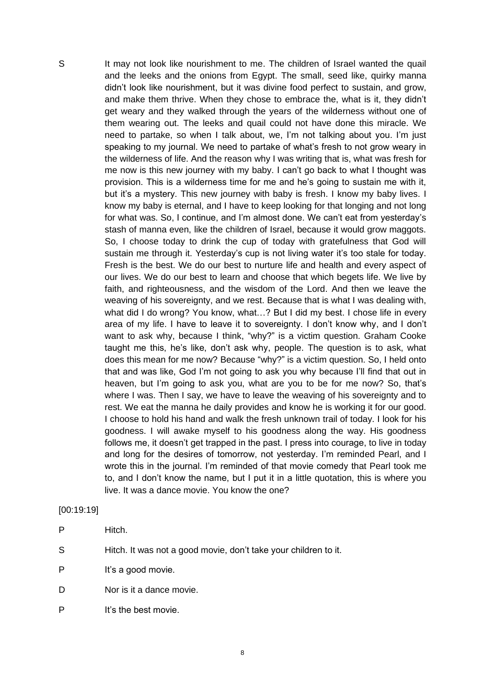S It may not look like nourishment to me. The children of Israel wanted the quail and the leeks and the onions from Egypt. The small, seed like, quirky manna didn't look like nourishment, but it was divine food perfect to sustain, and grow, and make them thrive. When they chose to embrace the, what is it, they didn't get weary and they walked through the years of the wilderness without one of them wearing out. The leeks and quail could not have done this miracle. We need to partake, so when I talk about, we, I'm not talking about you. I'm just speaking to my journal. We need to partake of what's fresh to not grow weary in the wilderness of life. And the reason why I was writing that is, what was fresh for me now is this new journey with my baby. I can't go back to what I thought was provision. This is a wilderness time for me and he's going to sustain me with it, but it's a mystery. This new journey with baby is fresh. I know my baby lives. I know my baby is eternal, and I have to keep looking for that longing and not long for what was. So, I continue, and I'm almost done. We can't eat from yesterday's stash of manna even, like the children of Israel, because it would grow maggots. So, I choose today to drink the cup of today with gratefulness that God will sustain me through it. Yesterday's cup is not living water it's too stale for today. Fresh is the best. We do our best to nurture life and health and every aspect of our lives. We do our best to learn and choose that which begets life. We live by faith, and righteousness, and the wisdom of the Lord. And then we leave the weaving of his sovereignty, and we rest. Because that is what I was dealing with, what did I do wrong? You know, what...? But I did my best. I chose life in every area of my life. I have to leave it to sovereignty. I don't know why, and I don't want to ask why, because I think, "why?" is a victim question. Graham Cooke taught me this, he's like, don't ask why, people. The question is to ask, what does this mean for me now? Because "why?" is a victim question. So, I held onto that and was like, God I'm not going to ask you why because I'll find that out in heaven, but I'm going to ask you, what are you to be for me now? So, that's where I was. Then I say, we have to leave the weaving of his sovereignty and to rest. We eat the manna he daily provides and know he is working it for our good. I choose to hold his hand and walk the fresh unknown trail of today. I look for his goodness. I will awake myself to his goodness along the way. His goodness follows me, it doesn't get trapped in the past. I press into courage, to live in today and long for the desires of tomorrow, not yesterday. I'm reminded Pearl, and I wrote this in the journal. I'm reminded of that movie comedy that Pearl took me to, and I don't know the name, but I put it in a little quotation, this is where you live. It was a dance movie. You know the one?

#### [00:19:19]

| Hitch.<br>P |
|-------------|
|             |

- S Hitch. It was not a good movie, don't take your children to it.
- P It's a good movie.
- D Nor is it a dance movie.
- P It's the best movie.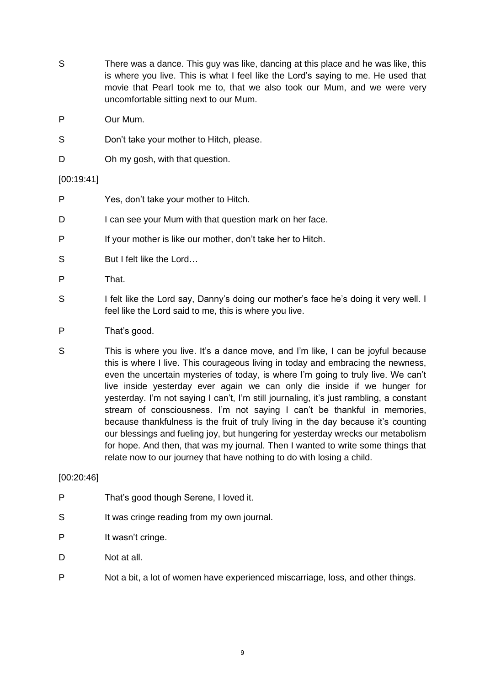- S There was a dance. This guy was like, dancing at this place and he was like, this is where you live. This is what I feel like the Lord's saying to me. He used that movie that Pearl took me to, that we also took our Mum, and we were very uncomfortable sitting next to our Mum.
- P Our Mum.
- S Don't take your mother to Hitch, please.
- D Oh my gosh, with that question.

# [00:19:41]

- P Yes, don't take your mother to Hitch.
- D I can see your Mum with that question mark on her face.
- P If your mother is like our mother, don't take her to Hitch.
- S But I felt like the Lord...
- P That.
- S I felt like the Lord say, Danny's doing our mother's face he's doing it very well. I feel like the Lord said to me, this is where you live.
- P That's good.
- S This is where you live. It's a dance move, and I'm like, I can be joyful because this is where I live. This courageous living in today and embracing the newness, even the uncertain mysteries of today, is where I'm going to truly live. We can't live inside yesterday ever again we can only die inside if we hunger for yesterday. I'm not saying I can't, I'm still journaling, it's just rambling, a constant stream of consciousness. I'm not saying I can't be thankful in memories, because thankfulness is the fruit of truly living in the day because it's counting our blessings and fueling joy, but hungering for yesterday wrecks our metabolism for hope. And then, that was my journal. Then I wanted to write some things that relate now to our journey that have nothing to do with losing a child.

# [00:20:46]

- P That's good though Serene, I loved it.
- S It was cringe reading from my own journal.
- P It wasn't cringe.
- D Not at all.
- P Not a bit, a lot of women have experienced miscarriage, loss, and other things.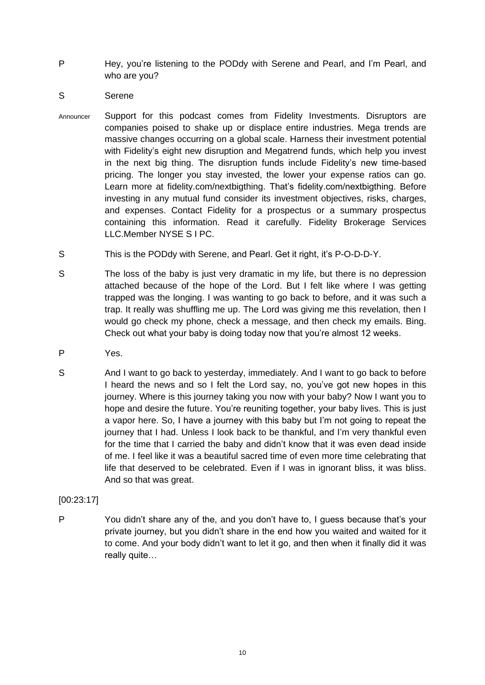- P Hey, you're listening to the PODdy with Serene and Pearl, and I'm Pearl, and who are you?
- S Serene
- Announcer Support for this podcast comes from Fidelity Investments. Disruptors are companies poised to shake up or displace entire industries. Mega trends are massive changes occurring on a global scale. Harness their investment potential with Fidelity's eight new disruption and Megatrend funds, which help you invest in the next big thing. The disruption funds include Fidelity's new time-based pricing. The longer you stay invested, the lower your expense ratios can go. Learn more at fidelity.com/nextbigthing. That's fidelity.com/nextbigthing. Before investing in any mutual fund consider its investment objectives, risks, charges, and expenses. Contact Fidelity for a prospectus or a summary prospectus containing this information. Read it carefully. Fidelity Brokerage Services LLC.Member NYSE S I PC.
- S This is the PODdy with Serene, and Pearl. Get it right, it's P-O-D-D-Y.
- S The loss of the baby is just very dramatic in my life, but there is no depression attached because of the hope of the Lord. But I felt like where I was getting trapped was the longing. I was wanting to go back to before, and it was such a trap. It really was shuffling me up. The Lord was giving me this revelation, then I would go check my phone, check a message, and then check my emails. Bing. Check out what your baby is doing today now that you're almost 12 weeks.
- P Yes.
- S And I want to go back to yesterday, immediately. And I want to go back to before I heard the news and so I felt the Lord say, no, you've got new hopes in this journey. Where is this journey taking you now with your baby? Now I want you to hope and desire the future. You're reuniting together, your baby lives. This is just a vapor here. So, I have a journey with this baby but I'm not going to repeat the journey that I had. Unless I look back to be thankful, and I'm very thankful even for the time that I carried the baby and didn't know that it was even dead inside of me. I feel like it was a beautiful sacred time of even more time celebrating that life that deserved to be celebrated. Even if I was in ignorant bliss, it was bliss. And so that was great.

[00:23:17]

P You didn't share any of the, and you don't have to, I guess because that's your private journey, but you didn't share in the end how you waited and waited for it to come. And your body didn't want to let it go, and then when it finally did it was really quite…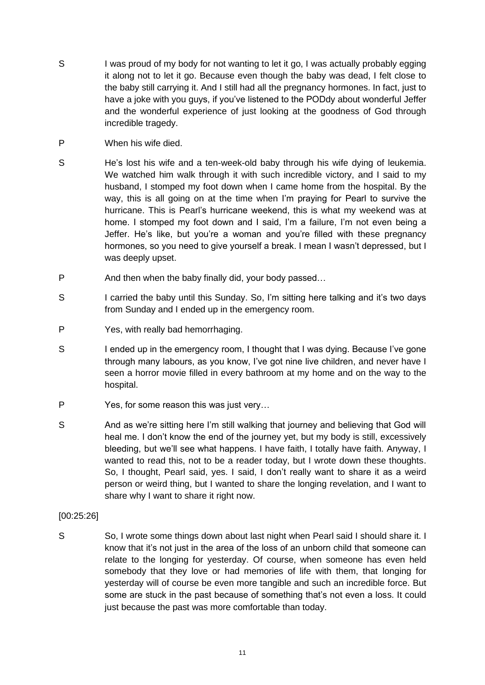- S I was proud of my body for not wanting to let it go, I was actually probably egging it along not to let it go. Because even though the baby was dead, I felt close to the baby still carrying it. And I still had all the pregnancy hormones. In fact, just to have a joke with you guys, if you've listened to the PODdy about wonderful Jeffer and the wonderful experience of just looking at the goodness of God through incredible tragedy.
- P When his wife died.
- S He's lost his wife and a ten-week-old baby through his wife dying of leukemia. We watched him walk through it with such incredible victory, and I said to my husband, I stomped my foot down when I came home from the hospital. By the way, this is all going on at the time when I'm praying for Pearl to survive the hurricane. This is Pearl's hurricane weekend, this is what my weekend was at home. I stomped my foot down and I said, I'm a failure, I'm not even being a Jeffer. He's like, but you're a woman and you're filled with these pregnancy hormones, so you need to give yourself a break. I mean I wasn't depressed, but I was deeply upset.
- P And then when the baby finally did, your body passed...
- S I carried the baby until this Sunday. So, I'm sitting here talking and it's two days from Sunday and I ended up in the emergency room.
- P Yes, with really bad hemorrhaging.
- S I ended up in the emergency room, I thought that I was dying. Because I've gone through many labours, as you know, I've got nine live children, and never have I seen a horror movie filled in every bathroom at my home and on the way to the hospital.
- P Yes, for some reason this was just very…
- S And as we're sitting here I'm still walking that journey and believing that God will heal me. I don't know the end of the journey yet, but my body is still, excessively bleeding, but we'll see what happens. I have faith, I totally have faith. Anyway, I wanted to read this, not to be a reader today, but I wrote down these thoughts. So, I thought, Pearl said, yes. I said, I don't really want to share it as a weird person or weird thing, but I wanted to share the longing revelation, and I want to share why I want to share it right now.
- [00:25:26]
- So, I wrote some things down about last night when Pearl said I should share it. I know that it's not just in the area of the loss of an unborn child that someone can relate to the longing for yesterday. Of course, when someone has even held somebody that they love or had memories of life with them, that longing for yesterday will of course be even more tangible and such an incredible force. But some are stuck in the past because of something that's not even a loss. It could just because the past was more comfortable than today.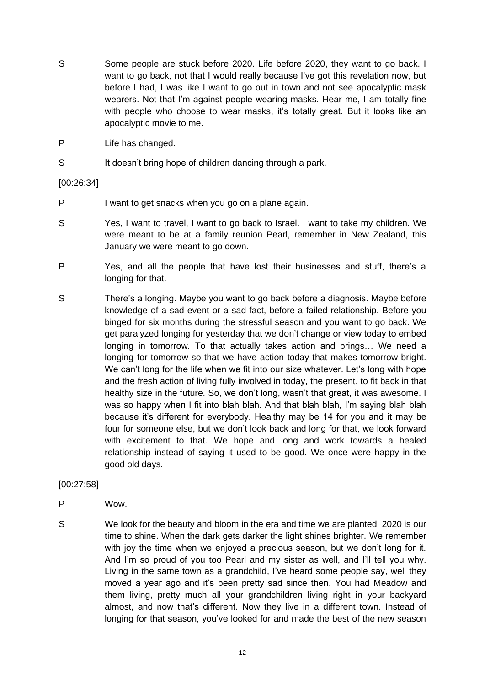- S Some people are stuck before 2020. Life before 2020, they want to go back. I want to go back, not that I would really because I've got this revelation now, but before I had, I was like I want to go out in town and not see apocalyptic mask wearers. Not that I'm against people wearing masks. Hear me, I am totally fine with people who choose to wear masks, it's totally great. But it looks like an apocalyptic movie to me.
- P Life has changed.
- S It doesn't bring hope of children dancing through a park.

# [00:26:34]

- P I want to get snacks when you go on a plane again.
- S Yes, I want to travel, I want to go back to Israel. I want to take my children. We were meant to be at a family reunion Pearl, remember in New Zealand, this January we were meant to go down.
- P Yes, and all the people that have lost their businesses and stuff, there's a longing for that.
- S There's a longing. Maybe you want to go back before a diagnosis. Maybe before knowledge of a sad event or a sad fact, before a failed relationship. Before you binged for six months during the stressful season and you want to go back. We get paralyzed longing for yesterday that we don't change or view today to embed longing in tomorrow. To that actually takes action and brings… We need a longing for tomorrow so that we have action today that makes tomorrow bright. We can't long for the life when we fit into our size whatever. Let's long with hope and the fresh action of living fully involved in today, the present, to fit back in that healthy size in the future. So, we don't long, wasn't that great, it was awesome. I was so happy when I fit into blah blah. And that blah blah, I'm saying blah blah because it's different for everybody. Healthy may be 14 for you and it may be four for someone else, but we don't look back and long for that, we look forward with excitement to that. We hope and long and work towards a healed relationship instead of saying it used to be good. We once were happy in the good old days.

## [00:27:58]

- P Wow.
- S We look for the beauty and bloom in the era and time we are planted. 2020 is our time to shine. When the dark gets darker the light shines brighter. We remember with joy the time when we enjoyed a precious season, but we don't long for it. And I'm so proud of you too Pearl and my sister as well, and I'll tell you why. Living in the same town as a grandchild, I've heard some people say, well they moved a year ago and it's been pretty sad since then. You had Meadow and them living, pretty much all your grandchildren living right in your backyard almost, and now that's different. Now they live in a different town. Instead of longing for that season, you've looked for and made the best of the new season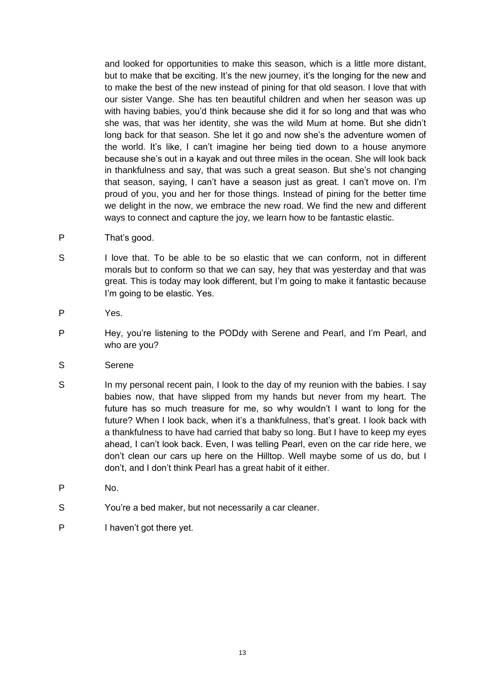and looked for opportunities to make this season, which is a little more distant, but to make that be exciting. It's the new journey, it's the longing for the new and to make the best of the new instead of pining for that old season. I love that with our sister Vange. She has ten beautiful children and when her season was up with having babies, you'd think because she did it for so long and that was who she was, that was her identity, she was the wild Mum at home. But she didn't long back for that season. She let it go and now she's the adventure women of the world. It's like, I can't imagine her being tied down to a house anymore because she's out in a kayak and out three miles in the ocean. She will look back in thankfulness and say, that was such a great season. But she's not changing that season, saying, I can't have a season just as great. I can't move on. I'm proud of you, you and her for those things. Instead of pining for the better time we delight in the now, we embrace the new road. We find the new and different ways to connect and capture the joy, we learn how to be fantastic elastic.

- P That's good.
- S I love that. To be able to be so elastic that we can conform, not in different morals but to conform so that we can say, hey that was yesterday and that was great. This is today may look different, but I'm going to make it fantastic because I'm going to be elastic. Yes.
- P Yes.
- P Hey, you're listening to the PODdy with Serene and Pearl, and I'm Pearl, and who are you?
- S Serene
- S In my personal recent pain, I look to the day of my reunion with the babies. I say babies now, that have slipped from my hands but never from my heart. The future has so much treasure for me, so why wouldn't I want to long for the future? When I look back, when it's a thankfulness, that's great. I look back with a thankfulness to have had carried that baby so long. But I have to keep my eyes ahead, I can't look back. Even, I was telling Pearl, even on the car ride here, we don't clean our cars up here on the Hilltop. Well maybe some of us do, but I don't, and I don't think Pearl has a great habit of it either.
- P No.
- S You're a bed maker, but not necessarily a car cleaner.
- P I haven't got there yet.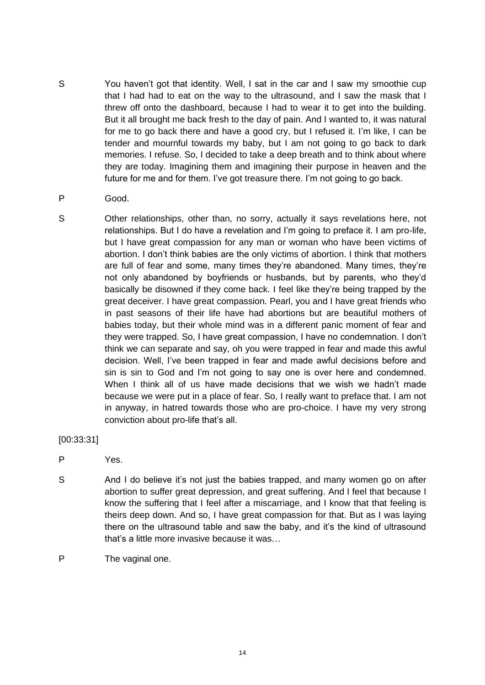- S You haven't got that identity. Well, I sat in the car and I saw my smoothie cup that I had had to eat on the way to the ultrasound, and I saw the mask that I threw off onto the dashboard, because I had to wear it to get into the building. But it all brought me back fresh to the day of pain. And I wanted to, it was natural for me to go back there and have a good cry, but I refused it. I'm like, I can be tender and mournful towards my baby, but I am not going to go back to dark memories. I refuse. So, I decided to take a deep breath and to think about where they are today. Imagining them and imagining their purpose in heaven and the future for me and for them. I've got treasure there. I'm not going to go back.
- P Good.
- S Other relationships, other than, no sorry, actually it says revelations here, not relationships. But I do have a revelation and I'm going to preface it. I am pro-life, but I have great compassion for any man or woman who have been victims of abortion. I don't think babies are the only victims of abortion. I think that mothers are full of fear and some, many times they're abandoned. Many times, they're not only abandoned by boyfriends or husbands, but by parents, who they'd basically be disowned if they come back. I feel like they're being trapped by the great deceiver. I have great compassion. Pearl, you and I have great friends who in past seasons of their life have had abortions but are beautiful mothers of babies today, but their whole mind was in a different panic moment of fear and they were trapped. So, I have great compassion, I have no condemnation. I don't think we can separate and say, oh you were trapped in fear and made this awful decision. Well, I've been trapped in fear and made awful decisions before and sin is sin to God and I'm not going to say one is over here and condemned. When I think all of us have made decisions that we wish we hadn't made because we were put in a place of fear. So, I really want to preface that. I am not in anyway, in hatred towards those who are pro-choice. I have my very strong conviction about pro-life that's all.
- [00:33:31]
- P Yes.
- S And I do believe it's not just the babies trapped, and many women go on after abortion to suffer great depression, and great suffering. And I feel that because I know the suffering that I feel after a miscarriage, and I know that that feeling is theirs deep down. And so, I have great compassion for that. But as I was laying there on the ultrasound table and saw the baby, and it's the kind of ultrasound that's a little more invasive because it was…
- P The vaginal one.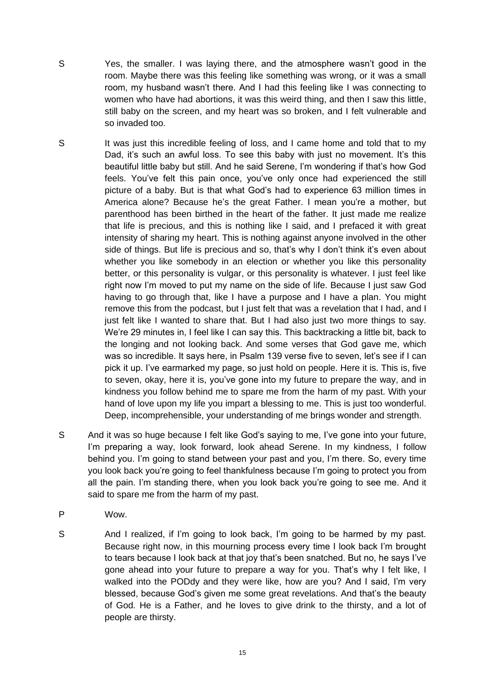S Yes, the smaller. I was laying there, and the atmosphere wasn't good in the room. Maybe there was this feeling like something was wrong, or it was a small room, my husband wasn't there. And I had this feeling like I was connecting to women who have had abortions, it was this weird thing, and then I saw this little, still baby on the screen, and my heart was so broken, and I felt vulnerable and so invaded too.

- S It was just this incredible feeling of loss, and I came home and told that to my Dad, it's such an awful loss. To see this baby with just no movement. It's this beautiful little baby but still. And he said Serene, I'm wondering if that's how God feels. You've felt this pain once, you've only once had experienced the still picture of a baby. But is that what God's had to experience 63 million times in America alone? Because he's the great Father. I mean you're a mother, but parenthood has been birthed in the heart of the father. It just made me realize that life is precious, and this is nothing like I said, and I prefaced it with great intensity of sharing my heart. This is nothing against anyone involved in the other side of things. But life is precious and so, that's why I don't think it's even about whether you like somebody in an election or whether you like this personality better, or this personality is vulgar, or this personality is whatever. I just feel like right now I'm moved to put my name on the side of life. Because I just saw God having to go through that, like I have a purpose and I have a plan. You might remove this from the podcast, but I just felt that was a revelation that I had, and I just felt like I wanted to share that. But I had also just two more things to say. We're 29 minutes in, I feel like I can say this. This backtracking a little bit, back to the longing and not looking back. And some verses that God gave me, which was so incredible. It says here, in Psalm 139 verse five to seven, let's see if I can pick it up. I've earmarked my page, so just hold on people. Here it is. This is, five to seven, okay, here it is, you've gone into my future to prepare the way, and in kindness you follow behind me to spare me from the harm of my past. With your hand of love upon my life you impart a blessing to me. This is just too wonderful. Deep, incomprehensible, your understanding of me brings wonder and strength.
- S And it was so huge because I felt like God's saying to me, I've gone into your future, I'm preparing a way, look forward, look ahead Serene. In my kindness, I follow behind you. I'm going to stand between your past and you, I'm there. So, every time you look back you're going to feel thankfulness because I'm going to protect you from all the pain. I'm standing there, when you look back you're going to see me. And it said to spare me from the harm of my past.
- P Wow.
- S And I realized, if I'm going to look back, I'm going to be harmed by my past. Because right now, in this mourning process every time I look back I'm brought to tears because I look back at that joy that's been snatched. But no, he says I've gone ahead into your future to prepare a way for you. That's why I felt like, I walked into the PODdy and they were like, how are you? And I said, I'm very blessed, because God's given me some great revelations. And that's the beauty of God. He is a Father, and he loves to give drink to the thirsty, and a lot of people are thirsty.